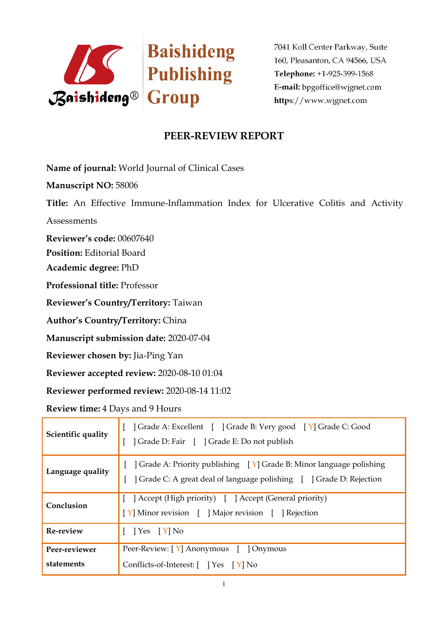

# **PEER-REVIEW REPORT**

**Name of journal:** World Journal of Clinical Cases

**Manuscript NO:** 58006

**Title:** An Effective Immune-Inflammation Index for Ulcerative Colitis and Activity

**Assessments** 

**Reviewer's code:** 00607640

**Position:** Editorial Board

**Academic degree:** PhD

**Professional title:** Professor

**Reviewer's Country/Territory:** Taiwan

**Author's Country/Territory:** China

**Manuscript submission date:** 2020-07-04

**Reviewer chosen by:** Jia-Ping Yan

**Reviewer accepted review:** 2020-08-10 01:04

**Reviewer performed review:** 2020-08-14 11:02

**Review time:** 4 Days and 9 Hours

| Scientific quality          | Crade A: Excellent [ ] Grade B: Very good [ Y] Grade C: Good<br>] Grade D: Fair [ ] Grade E: Do not publish                                                  |  |
|-----------------------------|--------------------------------------------------------------------------------------------------------------------------------------------------------------|--|
| Language quality            | $\vert$ Grade A: Priority publishing $\vert Y \vert$ Grade B: Minor language polishing<br>Crade C: A great deal of language polishing [ ] Grade D: Rejection |  |
| Conclusion                  | [ ] Accept (High priority) [ ] Accept (General priority)<br>[Y] Minor revision [ ] Major revision [ ] Rejection                                              |  |
| Re-review                   | $\left[ Y \right]$ Yes $\left[ Y \right]$ No                                                                                                                 |  |
| Peer-reviewer<br>statements | Peer-Review: [Y] Anonymous [ ] Onymous<br>Conflicts-of-Interest: [ ] Yes [Y] No                                                                              |  |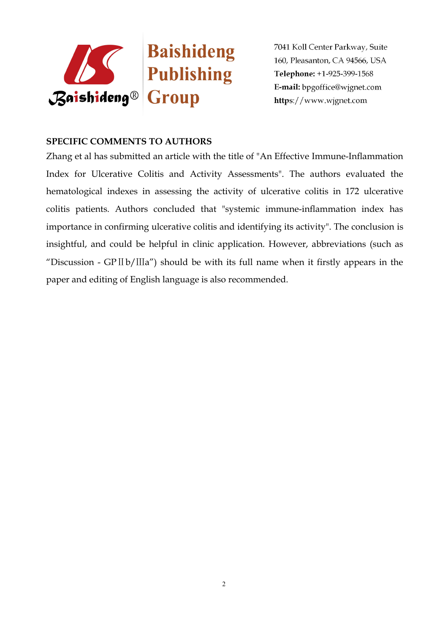

### **SPECIFIC COMMENTS TO AUTHORS**

Zhang et al has submitted an article with the title of "An Effective Immune-Inflammation Index for Ulcerative Colitis and Activity Assessments". The authors evaluated the hematological indexes in assessing the activity of ulcerative colitis in 172 ulcerative colitis patients. Authors concluded that "systemic immune-inflammation index has importance in confirming ulcerative colitis and identifying its activity". The conclusion is insightful, and could be helpful in clinic application. However, abbreviations (such as "Discussion - GPⅡb/Ⅲa") should be with its full name when it firstly appears in the paper and editing of English language is also recommended.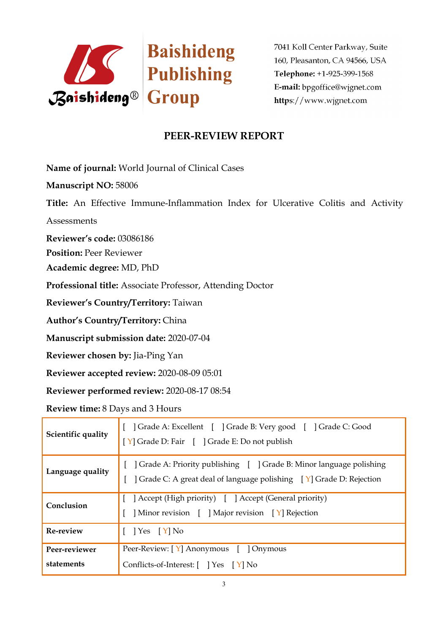

# **PEER-REVIEW REPORT**

**Name of journal:** World Journal of Clinical Cases

**Manuscript NO:** 58006

**Title:** An Effective Immune-Inflammation Index for Ulcerative Colitis and Activity

**Assessments** 

**Reviewer's code:** 03086186

**Position:** Peer Reviewer

**Academic degree:** MD, PhD

**Professional title:** Associate Professor, Attending Doctor

**Reviewer's Country/Territory:** Taiwan

**Author's Country/Territory:** China

**Manuscript submission date:** 2020-07-04

**Reviewer chosen by:** Jia-Ping Yan

**Reviewer accepted review:** 2020-08-09 05:01

**Reviewer performed review:** 2020-08-17 08:54

**Review time:** 8 Days and 3 Hours

| Scientific quality          | Crade A: Excellent [ ] Grade B: Very good [ ] Grade C: Good<br>[Y] Grade D: Fair [ ] Grade E: Do not publish                                               |  |
|-----------------------------|------------------------------------------------------------------------------------------------------------------------------------------------------------|--|
| Language quality            | Grade A: Priority publishing   Crade B: Minor language polishing<br>$\vert$ Grade C: A great deal of language polishing $\vert Y \vert$ Grade D: Rejection |  |
| Conclusion                  | Accept (High priority) [ ] Accept (General priority)<br>Minor revision [ ] Major revision [ Y] Rejection                                                   |  |
| Re-review                   | $\left[ Y \right]$ Yes $\left[ Y \right]$ No                                                                                                               |  |
| Peer-reviewer<br>statements | Peer-Review: [Y] Anonymous [ ] Onymous<br>Conflicts-of-Interest: [ ] Yes [Y] No                                                                            |  |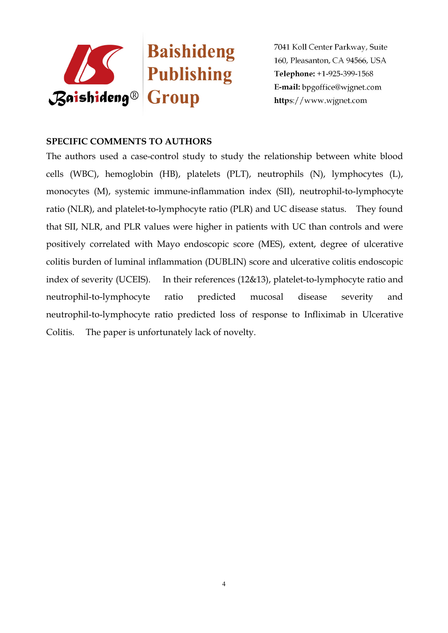

### **SPECIFIC COMMENTS TO AUTHORS**

The authors used a case-control study to study the relationship between white blood cells (WBC), hemoglobin (HB), platelets (PLT), neutrophils (N), lymphocytes (L), monocytes (M), systemic immune-inflammation index (SII), neutrophil-to-lymphocyte ratio (NLR), and platelet-to-lymphocyte ratio (PLR) and UC disease status. They found that SII, NLR, and PLR values were higher in patients with UC than controls and were positively correlated with Mayo endoscopic score (MES), extent, degree of ulcerative colitis burden of luminal inflammation (DUBLIN) score and ulcerative colitis endoscopic index of severity (UCEIS). In their references (12&13), platelet-to-lymphocyte ratio and neutrophil-to-lymphocyte ratio predicted mucosal disease severity and neutrophil-to-lymphocyte ratio predicted loss of response to Infliximab in Ulcerative Colitis. The paper is unfortunately lack of novelty.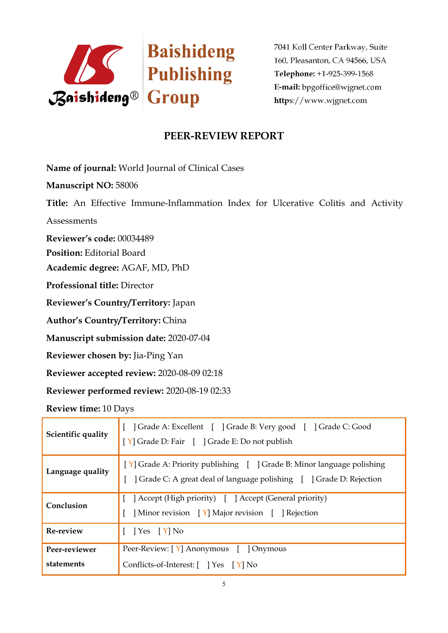

# **PEER-REVIEW REPORT**

**Name of journal:** World Journal of Clinical Cases

**Manuscript NO:** 58006

**Title:** An Effective Immune-Inflammation Index for Ulcerative Colitis and Activity

**Assessments** 

**Reviewer's code:** 00034489

**Position:** Editorial Board

**Academic degree:** AGAF, MD, PhD

**Professional title:** Director

**Reviewer's Country/Territory:** Japan

**Author's Country/Territory:** China

**Manuscript submission date:** 2020-07-04

**Reviewer chosen by:** Jia-Ping Yan

**Reviewer accepted review:** 2020-08-09 02:18

**Reviewer performed review:** 2020-08-19 02:33

**Review time:** 10 Days

| Scientific quality          | [ ] Grade A: Excellent [ ] Grade B: Very good [ ] Grade C: Good<br>[Y] Grade D: Fair [ ] Grade E: Do not publish                             |  |
|-----------------------------|----------------------------------------------------------------------------------------------------------------------------------------------|--|
| Language quality            | [Y] Grade A: Priority publishing [ ] Grade B: Minor language polishing<br>  Grade C: A great deal of language polishing   Crade D: Rejection |  |
| Conclusion                  | [ ] Accept (High priority) [ ] Accept (General priority)<br>Minor revision [Y] Major revision [ ] Rejection                                  |  |
| Re-review                   | $\left  \right.$ Yes $\left[ \right.$ Y $\right $ No                                                                                         |  |
| Peer-reviewer<br>statements | Peer-Review: [Y] Anonymous [ ] Onymous<br>Conflicts-of-Interest: [ ] Yes [Y] No                                                              |  |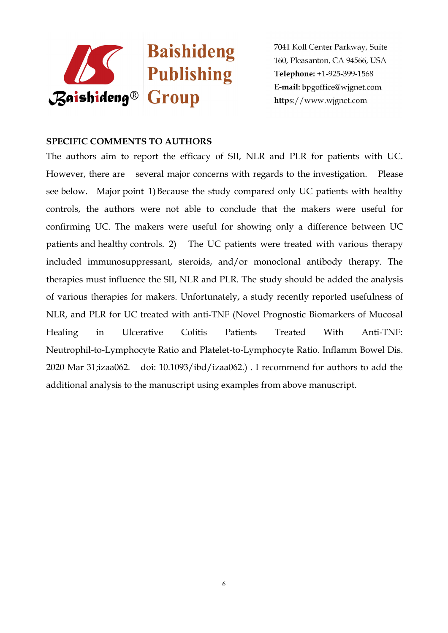

### **SPECIFIC COMMENTS TO AUTHORS**

The authors aim to report the efficacy of SII, NLR and PLR for patients with UC. However, there are several major concerns with regards to the investigation. Please see below. Major point 1) Because the study compared only UC patients with healthy controls, the authors were not able to conclude that the makers were useful for confirming UC. The makers were useful for showing only a difference between UC patients and healthy controls. 2) The UC patients were treated with various therapy included immunosuppressant, steroids, and/or monoclonal antibody therapy. The therapies must influence the SII, NLR and PLR. The study should be added the analysis of various therapies for makers. Unfortunately, a study recently reported usefulness of NLR, and PLR for UC treated with anti-TNF (Novel Prognostic Biomarkers of Mucosal Healing in Ulcerative Colitis Patients Treated With Anti-TNF: Neutrophil-to-Lymphocyte Ratio and Platelet-to-Lymphocyte Ratio. Inflamm Bowel Dis. 2020 Mar 31;izaa062. doi: 10.1093/ibd/izaa062.) . I recommend for authors to add the additional analysis to the manuscript using examples from above manuscript.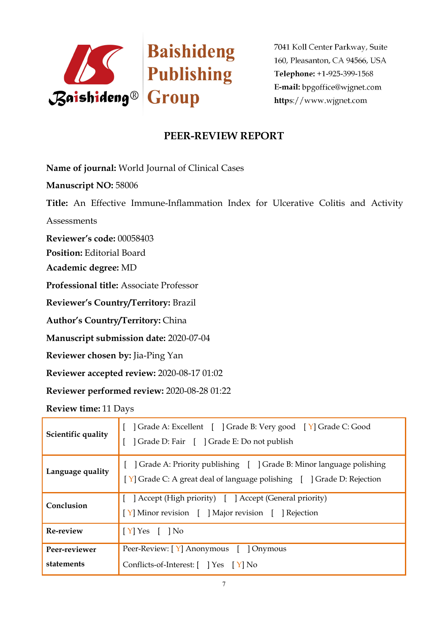

# **PEER-REVIEW REPORT**

**Name of journal:** World Journal of Clinical Cases

**Manuscript NO:** 58006

**Title:** An Effective Immune-Inflammation Index for Ulcerative Colitis and Activity

**Assessments** 

**Reviewer's code:** 00058403

**Position:** Editorial Board

**Academic degree:** MD

**Professional title:** Associate Professor

**Reviewer's Country/Territory:** Brazil

**Author's Country/Territory:** China

**Manuscript submission date:** 2020-07-04

**Reviewer chosen by:** Jia-Ping Yan

**Reviewer accepted review:** 2020-08-17 01:02

**Reviewer performed review:** 2020-08-28 01:22

**Review time:** 11 Days

| Scientific quality          | Crade A: Excellent [ ] Grade B: Very good [ Y] Grade C: Good<br>] Grade D: Fair [ ] Grade E: Do not publish                                  |  |
|-----------------------------|----------------------------------------------------------------------------------------------------------------------------------------------|--|
| Language quality            | Grade A: Priority publishing     Grade B: Minor language polishing<br>[Y] Grade C: A great deal of language polishing [ ] Grade D: Rejection |  |
| Conclusion                  | [ ] Accept (High priority) [ ] Accept (General priority)<br>[Y] Minor revision [ ] Major revision [ ] Rejection                              |  |
| Re-review                   | $[Y]$ Yes $[$ $]$ No                                                                                                                         |  |
| Peer-reviewer<br>statements | Peer-Review: [Y] Anonymous [ ] Onymous<br>Conflicts-of-Interest: [ ] Yes [Y] No                                                              |  |